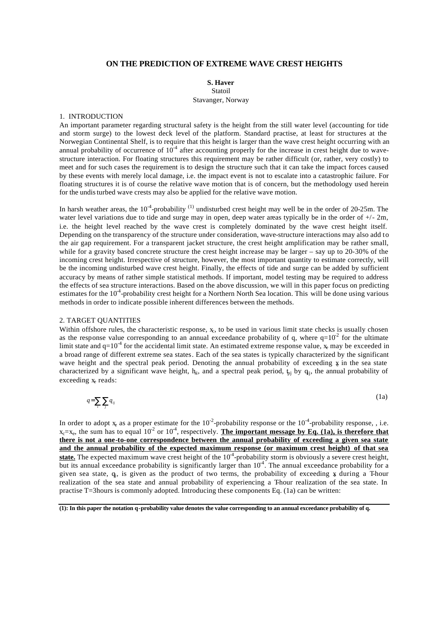# **ON THE PREDICTION OF EXTREME WAVE CREST HEIGHTS**

**S. Haver** Statoil Stavanger, Norway

## 1. INTRODUCTION

An important parameter regarding structural safety is the height from the still water level (accounting for tide and storm surge) to the lowest deck level of the platform. Standard practise, at least for structures at the Norwegian Continental Shelf, is to require that this height is larger than the wave crest height occurring with an annual probability of occurrence of  $10^{-4}$  after accounting properly for the increase in crest height due to wavestructure interaction. For floating structures this requirement may be rather difficult (or, rather, very costly) to meet and for such cases the requirement is to design the structure such that it can take the impact forces caused by these events with merely local damage, i.e. the impact event is not to escalate into a catastrophic failure. For floating structures it is of course the relative wave motion that is of concern, but the methodology used herein for the undisturbed wave crests may also be applied for the relative wave motion.

In harsh weather areas, the  $10^{-4}$ -probability  $^{(1)}$  undisturbed crest height may well be in the order of 20-25m. The water level variations due to tide and surge may in open, deep water areas typically be in the order of  $+/- 2m$ , i.e. the height level reached by the wave crest is completely dominated by the wave crest height itself. Depending on the transparency of the structure under consideration, wave-structure interactions may also add to the air gap requirement. For a transparent jacket structure, the crest height amplification may be rather small, while for a gravity based concrete structure the crest height increase may be larger – say up to 20-30% of the incoming crest height. Irrespective of structure, however, the most important quantity to estimate correctly, will be the incoming undisturbed wave crest height. Finally, the effects of tide and surge can be added by sufficient accuracy by means of rather simple statistical methods. If important, model testing may be required to address the effects of sea structure interactions. Based on the above discussion, we will in this paper focus on predicting estimates for the  $10^4$ -probability crest height for a Northern North Sea location. This will be done using various methods in order to indicate possible inherent differences between the methods.

# 2. TARGET QUANTITIES

Within offshore rules, the characteristic response,  $x_c$ , to be used in various limit state checks is usually chosen as the response value corresponding to an annual exceedance probability of q, where  $q=10^{-2}$  for the ultimate limit state and  $q=10^{-4}$  for the accidental limit state. An estimated extreme response value,  $x_e$  may be exceeded in a broad range of different extreme sea states. Each of the sea states is typically characterized by the significant wave height and the spectral peak period. Denoting the annual probability of exceeding  $x$  in the sea state characterized by a significant wave height,  $h_{si}$ , and a spectral peak period,  $t_{pi}$  by  $q_{i}$ , the annual probability of exceeding x<sub>e</sub> reads:

$$
q = \sum_{i} \sum_{j} q_{ij} \tag{1a}
$$

In order to adopt  $x_e$  as a proper estimate for the 10<sup>-2</sup>-probability response or the 10<sup>-4</sup>-probability response, , i.e.  $x_c = x_e$ , the sum has to equal  $10^{-2}$  or  $10^{-4}$ , respectively. **The important message by Eq. (1a), is therefore that there is not a one-to-one correspondence between the annual probability of exceeding a given sea state and the annual probability of the expected maximum response (or maximum crest height) of that sea**  state. The expected maximum wave crest height of the 10<sup>4</sup>-probability storm is obviously a severe crest height, but its annual exceedance probability is significantly larger than  $10<sup>4</sup>$ . The annual exceedance probability for a given sea state,  $q_i$ , is given as the product of two terms, the probability of exceeding  $x$  during a T-hour realization of the sea state and annual probability of experiencing a T-hour realization of the sea state. In practise T=3hours is commonly adopted. Introducing these components Eq. (1a) can be written:

**<sup>(1):</sup> In this paper the notation q-probability value denotes the value corresponding to an annual exceedance probability of q.**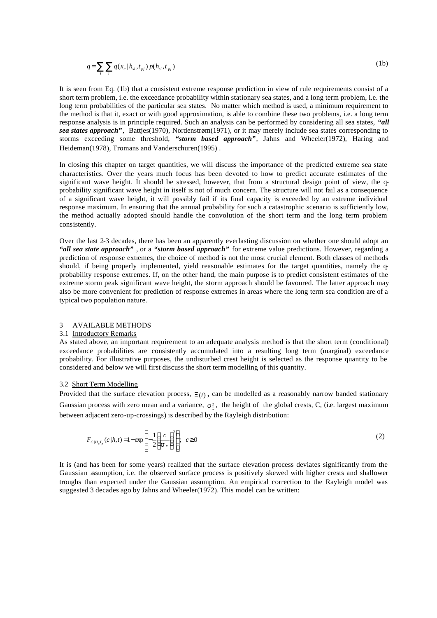$$
q = \sum_{i} \sum_{i} q(x_e | h_{si}, t_{pj}) p(h_{si}, t_{pj})
$$
\n<sup>(1b)</sup>

It is seen from Eq. (1b) that a consistent extreme response prediction in view of rule requirements consist of a short term problem, i.e. the exceedance probability within stationary sea states, and a long term problem, i.e. the long term probabilities of the particular sea states. No matter which method is used, a minimum requirement to the method is that it, exact or with good approximation, is able to combine these two problems, i.e. a long term response analysis is in principle required. Such an analysis can be performed by considering all sea states, *"all sea states approach"*, Battjes(1970), Nordenstrøm(1971), or it may merely include sea states corresponding to storms exceeding some threshold, *"storm based approach"*, Jahns and Wheeler(1972), Haring and Heideman(1978), Tromans and Vanderschuren(1995) .

In closing this chapter on target quantities, we will discuss the importance of the predicted extreme sea state characteristics. Over the years much focus has been devoted to how to predict accurate estimates of the significant wave height. It should be stressed, however, that from a structural design point of view, the qprobability significant wave height in itself is not of much concern. The structure will not fail as a consequence of a significant wave height, it will possibly fail if its final capacity is exceeded by an extreme individual response maximum. In ensuring that the annual probability for such a catastrophic scenario is sufficiently low, the method actually adopted should handle the convolution of the short term and the long term problem consistently.

Over the last 2-3 decades, there has been an apparently everlasting discussion on whether one should adopt an *"all sea state approach"* , or a *"storm based approach"* for extreme value predictions. However, regarding a prediction of response extremes, the choice of method is not the most crucial element. Both classes of methods should, if being properly implemented, yield reasonable estimates for the target quantities, namely the qprobability response extremes. If, on the other hand, the main purpose is to predict consistent estimates of the extreme storm peak significant wave height, the storm approach should be favoured. The latter approach may also be more convenient for prediction of response extremes in areas where the long term sea condition are of a typical two population nature.

#### 3 AVAILABLE METHODS

## 3.1 Introductory Remarks

As stated above, an important requirement to an adequate analysis method is that the short term (conditional) exceedance probabilities are consistently accumulated into a resulting long term (marginal) exceedance probability. For illustrative purposes, the undisturbed crest height is selected as the response quantity to be considered and below we will first discuss the short term modelling of this quantity.

#### 3.2 Short Term Modelling

Provided that the surface elevation process,  $\Xi(t)$ , can be modelled as a reasonably narrow banded stationary Gaussian process with zero mean and a variance,  $s_2^2$ , the height of the global crests, C, (i.e. largest maximum between adjacent zero-up-crossings) is described by the Rayleigh distribution:

$$
F_{C|H,T_p}(c|h,t) = 1 - \exp\left\{-\frac{1}{2}\left(\frac{c}{\mathbf{s}_{\Xi}}\right)^2\right\};\ \ c \ge 0 \tag{2}
$$

It is (and has been for some years) realized that the surface elevation process deviates significantly from the Gaussian assumption, i.e. the observed surface process is positively skewed with higher crests and shallower troughs than expected under the Gaussian assumption. An empirical correction to the Rayleigh model was suggested 3 decades ago by Jahns and Wheeler(1972). This model can be written: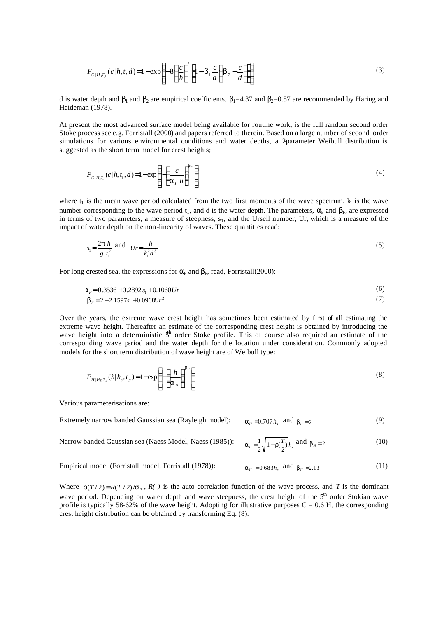$$
F_{C|H,T_p}(c|h,t,d) = 1 - \exp\left\{-8\left(\frac{c}{h}\right)^2 \left[1 - b_1 \frac{c}{d}\left(b_2 - \frac{c}{d}\right)\right]\right\}
$$
(3)

d is water depth and  $\beta_1$  and  $\beta_2$  are empirical coefficients.  $\beta_1$ =4.37 and  $\beta_2$ =0.57 are recommended by Haring and Heideman (1978).

At present the most advanced surface model being available for routine work, is the full random second order Stoke process see e.g. Forristall (2000) and papers referred to therein. Based on a large number of second order simulations for various environmental conditions and water depths, a 2-parameter Weibull distribution is suggested as the short term model for crest heights;

$$
F_{C|H,\mathcal{I}_1}(c|h,t_1,d) = 1 - \exp\left\{-\left(\frac{c}{a_F h}\right)^{b_F}\right\} \tag{4}
$$

where  $t_1$  is the mean wave period calculated from the two first moments of the wave spectrum,  $k_1$  is the wave number corresponding to the wave period  $t_1$ , and d is the water depth. The parameters,  $\alpha_F$  and  $\beta_F$ , are expressed in terms of two parameters, a measure of steepness,  $s<sub>1</sub>$ , and the Ursell number, Ur, which is a measure of the impact of water depth on the non-linearity of waves. These quantities read:

$$
s_1 = \frac{2p h}{g t_1^2} \text{ and } Ur = \frac{h}{k_1^2 d^3}
$$
 (5)

For long crested sea, the expressions for  $\alpha_F$  and  $\beta_F$ , read, Forristall(2000):

$$
aF = 0.3536 + 0.2892 s1 + 0.1060 Ur
$$
\n(6)

$$
\mathbf{b}_r = 2 - 2.1597s_1 + 0.0968Ur^2 \tag{7}
$$

Over the years, the extreme wave crest height has sometimes been estimated by first of all estimating the extreme wave height. Thereafter an estimate of the corresponding crest height is obtained by introducing the wave height into a deterministic  $5<sup>h</sup>$  order Stoke profile. This of course also required an estimate of the corresponding wave period and the water depth for the location under consideration. Commonly adopted models for the short term distribution of wave height are of Weibull type:

$$
F_{H|H_sT_p}(h|h_s,t_p) = 1 - \exp\left\{-\left(\frac{h}{a_H}\right)^{b_H}\right\}
$$
\n
$$
(8)
$$

Various parameterisations are:

Extremely narrow banded Gaussian sea (Rayleigh model):  $a_H = 0.707 h_s$  and  $b_H = 2$ (9)

Narrow banded Gaussian sea (Naess Model, Naess (1985)):

$$
a_{H} = \frac{1}{2} \sqrt{1 - r(\frac{T}{2})} h_{s} \text{ and } b_{H} = 2
$$
 (10)

Empirical model (Forristall model, Forristall (1978)):

$$
a_{H} = 0.683 h_{s} \text{ and } b_{H} = 2.13 \tag{11}
$$

Where  $r(T/2) = R(T/2)/s_{\epsilon}$ ,  $R( )$  is the auto correlation function of the wave process, and *T* is the dominant wave period. Depending on water depth and wave steepness, the crest height of the  $5<sup>th</sup>$  order Stokian wave profile is typically 58-62% of the wave height. Adopting for illustrative purposes  $C = 0.6$  H, the corresponding crest height distribution can be obtained by transforming Eq. (8).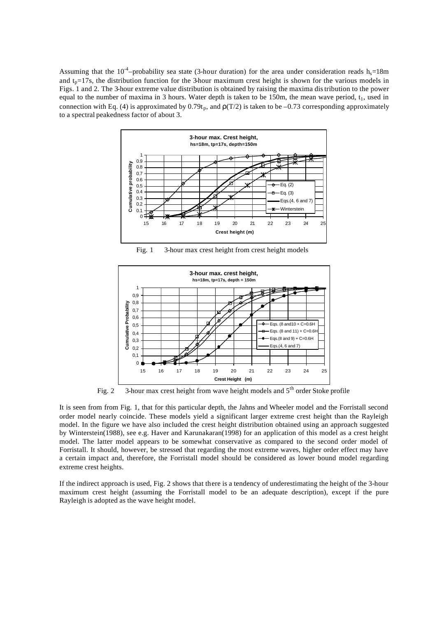Assuming that the 10<sup>-4</sup>-probability sea state (3-hour duration) for the area under consideration reads  $h_s=18m$ and  $t<sub>p</sub>=17s$ , the distribution function for the 3-hour maximum crest height is shown for the various models in Figs. 1 and 2. The 3-hour extreme value distribution is obtained by raising the maxima distribution to the power equal to the number of maxima in 3 hours. Water depth is taken to be 150m, the mean wave period,  $t_1$ , used in connection with Eq. (4) is approximated by  $0.79t_p$ , and  $\rho(T/2)$  is taken to be –0.73 corresponding approximately to a spectral peakedness factor of about 3.



Fig. 1 3-hour max crest height from crest height models



Fig. 2 3-hour max crest height from wave height models and  $5<sup>th</sup>$  order Stoke profile

It is seen from from Fig. 1, that for this particular depth, the Jahns and Wheeler model and the Forristall second order model nearly coincide. These models yield a significant larger extreme crest height than the Rayleigh model. In the figure we have also included the crest height distribution obtained using an approach suggested by Winterstein(1988), see e.g. Haver and Karunakaran(1998) for an application of this model as a crest height model. The latter model appears to be somewhat conservative as compared to the second order model of Forristall. It should, however, be stressed that regarding the most extreme waves, higher order effect may have a certain impact and, therefore, the Forristall model should be considered as lower bound model regarding extreme crest heights.

If the indirect approach is used, Fig. 2 shows that there is a tendency of underestimating the height of the 3-hour maximum crest height (assuming the Forristall model to be an adequate description), except if the pure Rayleigh is adopted as the wave height model.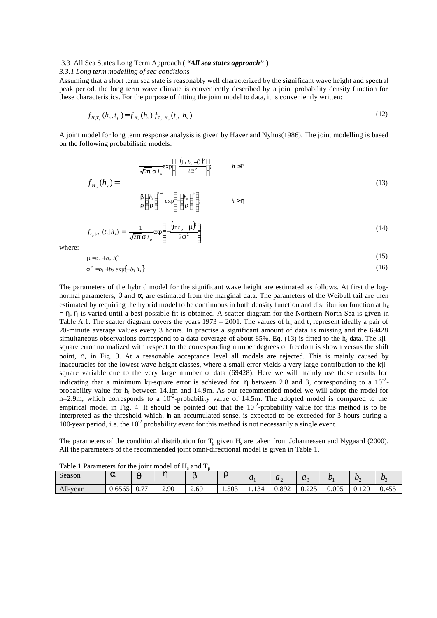# 3.3 All Sea States Long Term Approach ( *"All sea states approach"* )

# *3.3.1 Long term modelling of sea conditions*

Assuming that a short term sea state is reasonably well characterized by the significant wave height and spectral peak period, the long term wave climate is conveniently described by a joint probability density function for these characteristics. For the purpose of fitting the joint model to data, it is conveniently written:

$$
f_{H,T_p}(h_s, t_p) = f_{H_s}(h_s) f_{T_p|H_s}(t_p|h_s)
$$
\n(12)

A joint model for long term response analysis is given by Haver and Nyhus(1986). The joint modelling is based on the following probabilistic models:

$$
\frac{1}{\sqrt{2p} a h_s} \exp\left\{-\frac{(\ln h_s - \boldsymbol{q})^2}{2a^2}\right\}; \qquad h \leq \boldsymbol{h}
$$
\n
$$
f_{H_s}(h_s) = \tag{13}
$$

$$
\frac{\mathbf{b}}{\mathbf{r}}\left(\frac{h_s}{\mathbf{r}}\right)^{b-1}\exp\left\{-\left(\frac{h_s}{\mathbf{r}}\right)^b\right\};\qquad h > h
$$

$$
f_{T_p|H_s}(t_p|h_s) = \frac{1}{\sqrt{2p} \, \mathbf{s} \, t_p} \exp\left\{ -\frac{(\ln t_p - \mathbf{m})^2}{2\mathbf{s}^2} \right\} \tag{14}
$$

where:

$$
\mathbf{m} = a_1 + a_2 h_s^{a_3}
$$
\n
$$
\mathbf{s}^2 = b_1 + b_2 \exp\{-b_3 h_s\}
$$
\n(16)

 $(15)$ 

The parameters of the hybrid model for the significant wave height are estimated as follows. At first the lognormal parameters,  $θ$  and  $α$ , are estimated from the marginal data. The parameters of the Weibull tail are then estimated by requiring the hybrid model to be continuous in both density function and distribution function at  $h_s$  $=$  n.  $\eta$  is varied until a best possible fit is obtained. A scatter diagram for the Northern North Sea is given in Table A.1. The scatter diagram covers the years  $1973 - 2001$ . The values of  $h_s$  and  $t_p$  represent ideally a pair of 20-minute average values every 3 hours. In practise a significant amount of data is missing and the 69428 simultaneous observations correspond to a data coverage of about 85%. Eq. (13) is fitted to the h<sub>s</sub> data. The kjisquare error normalized with respect to the corresponding number degrees of freedom is shown versus the shift point, η, in Fig. 3. At a reasonable acceptance level all models are rejected. This is mainly caused by inaccuracies for the lowest wave height classes, where a small error yields a very large contribution to the kjisquare variable due to the very large number of data (69428). Here we will mainly use these results for indicating that a minimum kji-square error is achieved for  $\eta$  between 2.8 and 3, corresponding to a 10<sup>-2</sup>probability value for h<sub>s</sub> between 14.1m and 14.9m. As our recommended model we will adopt the model for  $h=2.9$ m, which corresponds to a 10<sup>-2</sup>-probability value of 14.5m. The adopted model is compared to the empirical model in Fig. 4. It should be pointed out that the  $10^{-2}$ -probability value for this method is to be interpreted as the threshold which, in an accumulated sense, is expected to be exceeded for 3 hours during a 100-year period, i.e. the  $10^2$  probability event for this method is not necessarily a single event.

The parameters of the conditional distribution for  $T_p$  given  $H_s$  are taken from Johannessen and Nygaard (2000). All the parameters of the recommended joint omni-directional model is given in Table 1.

| Season   | $\sqrt{ }$<br>a |            |      |       | $\sim$<br>. . | $\sim$<br>$\boldsymbol{u}$ | $\boldsymbol{u}$ | $\boldsymbol{u}$<br>$\overline{\phantom{a}}$ | $\boldsymbol{\nu}$ | $\boldsymbol{\nu}$ | $\boldsymbol{\nu}$ |
|----------|-----------------|------------|------|-------|---------------|----------------------------|------------------|----------------------------------------------|--------------------|--------------------|--------------------|
| All-year | 0.6565          | $-$<br>∪.7 | 2.90 | 2.691 | 1.503         | 1.134                      | 0.892            | 0.225<br>0.44J                               | 0.005              | 0.120              | 0.455              |

Table 1 Parameters for the joint model of  $H_s$  and  $T_p$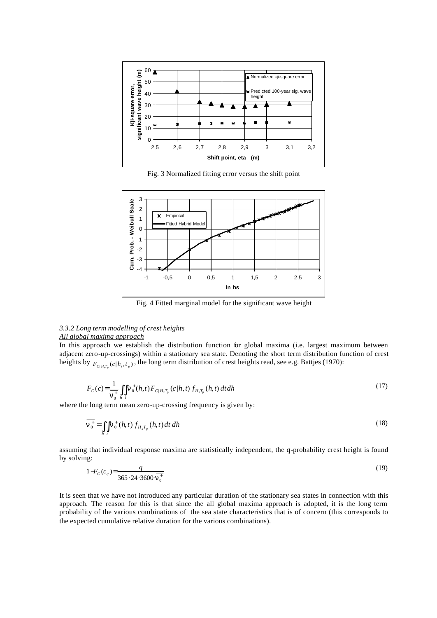

Fig. 3 Normalized fitting error versus the shift point



Fig. 4 Fitted marginal model for the significant wave height

# *3.3.2 Long term modelling of crest heights*

# *All global maxima approach*

In this approach we establish the distribution function for global maxima (i.e. largest maximum between adjacent zero-up-crossings) within a stationary sea state. Denoting the short term distribution function of crest heights by  $F_{C|H,T_p}(c|h_s,t_p)$ , the long term distribution of crest heights read, see e.g. Battjes (1970):

$$
F_C(c) = \frac{1}{n_0^+} \iint\limits_h \mathbf{n}^+_0(h,t) F_{C|H_sT_p}(c|h,t) f_{H_sT_p}(h,t) dt dh
$$
\n(17)

where the long term mean zero-up-crossing frequency is given by:

$$
\overline{\mathbf{n}_{0}^{+}} = \iint_{h} \mathbf{n}_{0}^{+} (h, t) f_{H, T_{p}} (h, t) dt dh
$$
\n(18)

assuming that individual response maxima are statistically independent, the q-probability crest height is found by solving:

$$
1 - F_C(c_q) = \frac{q}{365 \cdot 24 \cdot 3600 \cdot \overline{n_0^+}}
$$
(19)

It is seen that we have not introduced any particular duration of the stationary sea states in connection with this approach. The reason for this is that since the all global maxima approach is adopted, it is the long term probability of the various combinations of the sea state characteristics that is of concern (this corresponds to the expected cumulative relative duration for the various combinations).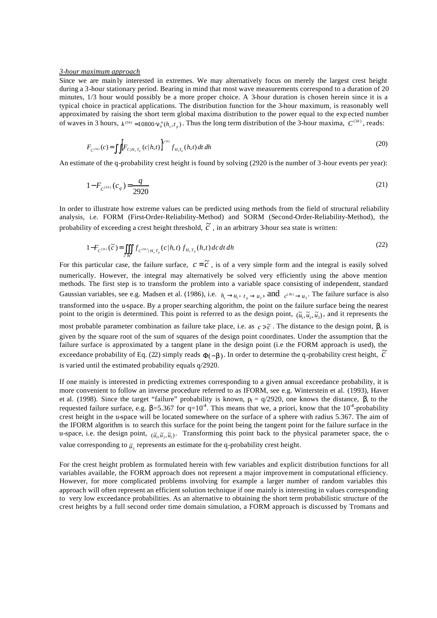#### *3-hour maximum approach*

Since we are main ly interested in extremes. We may alternatively focus on merely the largest crest height during a 3-hour stationary period. Bearing in mind that most wave measurements correspond to a duration of 20 minutes, 1/3 hour would possibly be a more proper choice. A 3-hour duration is chosen herein since it is a typical choice in practical applications. The distribution function for the 3-hour maximum, is reasonably well approximated by raising the short term global maxima distribution to the power equal to the exp ected number of waves in 3 hours,  $k^{(3h)} = 10800 \cdot n_0^+(h_s, t_p)$ . Thus the long term distribution of the 3-hour maxima,  $C^{(3h)}$ , reads:

$$
F_{C^{(3h)}}(c) = \iiint F_{C|H_s T_p}(c|h,t) \int_{k^{(3h)}}^{k^{(3h)}} f_{H_s T_p}(h,t) dt dh
$$
\n(20)

An estimate of the q-probability crest height is found by solving (2920 is the number of 3-hour events per year):

$$
1 - F_{C^{(3h)}}(c_q) = \frac{q}{2920}
$$
\n(21)

In order to illustrate how extreme values can be predicted using methods from the field of structural reliability analysis, i.e. FORM (First-Order-Reliability-Method) and SORM (Second-Order-Reliability-Method), the probability of exceeding a crest height threshold,  $\tilde{c}$ , in an arbitrary 3-hour sea state is written:

$$
1 - F_{C^{(3h)}}(\tilde{c}) = \iiint\limits_{c > \tilde{c}} f_{C^{(3h)}|H_s T_p}(c|h, t) f_{H_s T_p}(h, t) dc dt dh
$$
\n(22)

For this particular case, the failure surface,  $c = \tilde{c}$ , is of a very simple form and the integral is easily solved numerically. However, the integral may alternatively be solved very efficiently using the above mention methods. The first step is to transform the problem into a variable space consisting of independent, standard Gaussian variables, see e.g. Madsen et al. (1986), i.e.  $h_s \to u_1, t_p \to u_2$ , and  $c^{(3h)} \to u_3$ . The failure surface is also transformed into the u-space. By a proper searching algorithm, the point on the failure surface being the nearest point to the origin is determined. This point is referred to as the design point,  $(\tilde{u}_1, \tilde{u}_2, \tilde{u}_3)$ , and it represents the most probable parameter combination as failure take place, i.e. as  $c > \tilde{c}$ . The distance to the design point,  $\beta$ , is given by the square root of the sum of squares of the design point coordinates. Under the assumption that the failure surface is approximated by a tangent plane in the design point (i.e the FORM approach is used), the exceedance probability of Eq. (22) simply reads  $\Phi(-\mathbf{b})$ . In order to determine the q-probability crest height,  $\tilde{c}$ is varied until the estimated probability equals q/2920.

If one mainly is interested in predicting extremes corresponding to a given annual exceedance probability, it is more convenient to follow an inverse procedure referred to as IFORM, see e.g. Winterstein et al. (1993), Haver et al. (1998). Since the target "failure" probability is known,  $p_f = q/2920$ , one knows the distance,  $\beta$ , to the requested failure surface, e.g.  $\beta = 5.367$  for  $q=10^{-4}$ . This means that we, a priori, know that the 10<sup>-4</sup>-probability crest height in the u-space will be located somewhere on the surface of a sphere with radius 5.367. The aim of the IFORM algorithm is to search this surface for the point being the tangent point for the failure surface in the u-space, i.e. the design point,  $(\tilde{u}_1, \tilde{u}_2, \tilde{u}_3)$ . Transforming this point back to the physical parameter space, the cvalue corresponding to  $\tilde{u}_3$  represents an estimate for the q-probability crest height.

For the crest height problem as formulated herein with few variables and explicit distribution functions for all variables available, the FORM approach does not represent a major improvement in computational efficiency. However, for more complicated problems involving for example a larger number of random variables this approach will often represent an efficient solution technique if one mainly is interesting in values corresponding to very low exceedance probabilities. As an alternative to obtaining the short term probabilistic structure of the crest heights by a full second order time domain simulation, a FORM approach is discussed by Tromans and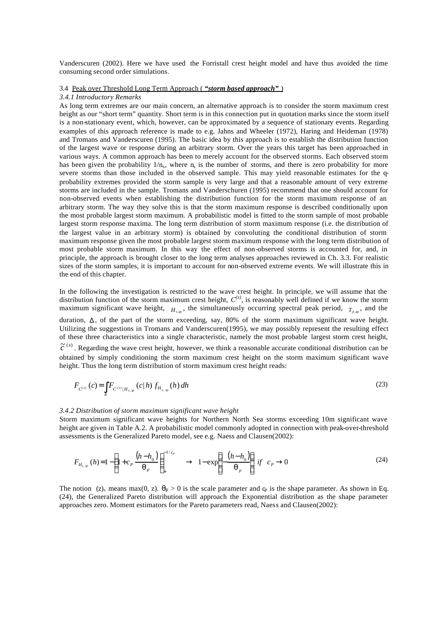Vanderscuren (2002). Here we have used the Forristall crest height model and have thus avoided the time consuming second order simulations.

### 3.4 Peak over Threshold Long Term Approach ( *"storm based approach"* )

#### *3.4.1 Introductory Remarks*

As long term extremes are our main concern, an alternative approach is to consider the storm maximum crest height as our "short term" quantity. Short term is in this connection put in quotation marks since the storm itself is a non-stationary event, which, however, can be approximated by a sequence of stationary events. Regarding examples of this approach reference is made to e.g. Jahns and Wheeler (1972), Haring and Heideman (1978) and Tromans and Vanderscuren (1995). The basic idea by this approach is to establish the distribution function of the largest wave or response during an arbitrary storm. Over the years this target has been approached in various ways. A common approach has been to merely account for the observed storms. Each observed storm has been given the probability  $1/n_s$ , where  $n_s$  is the number of storms, and there is zero probability for more severe storms than those included in the observed sample. This may yield reasonable estimates for the qprobability extremes provided the storm sample is very large and that a reasonable amount of very extreme storms are included in the sample. Tromans and Vanderschuren (1995) recommend that one should account for non-observed events when establishing the distribution function for the storm maximum response of an arbitrary storm. The way they solve this is that the storm maximum response is described conditionally upon the most probable largest storm maximum. A probabilistic model is fitted to the storm sample of most probable largest storm response maxima. The long term distribution of storm maximum response (i.e. the distribution of the largest value in an arbitrary storm) is obtained by convoluting the conditional distribution of storm maximum response given the most probable largest storm maximum response with the long term distribution of most probable storm maximum. In this way the effect of non-observed storms is accounted for, and, in principle, the approach is brought closer to the long term analyses approaches reviewed in Ch. 3.3. For realistic sizes of the storm samples, it is important to account for non-observed extreme events. We will illustrate this in the end of this chapter.

In the following the investigation is restricted to the wave crest height. In principle, we will assume that the distribution function of the storm maximum crest height,  $C^{(s)}$ , is reasonably well defined if we know the storm maximum significant wave height,  $H_{s,p}$ , the simultaneously occurring spectral peak period,  $T_{p,p}$ , and the

duration, Δ , of the part of the storm exceeding, say, 80% of the storm maximum significant wave height. Utilizing the suggestions in Tromans and Vanderscuren(1995), we may possibly represent the resulting effect of these three characteristics into a single characteristic, namely the most probable largest storm crest height,

 $\tilde{c}^{(s)}$ . Regarding the wave crest height, however, we think a reasonable accurate conditional distribution can be obtained by simply conditioning the storm maximum crest height on the storm maximum significant wave height. Thus the long term distribution of storm maximum crest height reads:

$$
F_{C^{(s)}}(c) = \int_{h} F_{C^{(s)}|H_{s,p}}(c|h) f_{H_{s,p}}(h) dh
$$
\n(23)

#### *3.4.2 Distribution of storm maximum significant wave height*

Storm maximum significant wave heights for Northern North Sea storms exceeding 10m significant wave height are given in Table A.2. A probabilistic model commonly adopted in connection with peak-over-threshold assessments is the Generalized Pareto model, see e.g. Naess and Clausen(2002):

$$
F_{H_{s,p}}(h) = 1 - \left(1 + c_p \frac{(h - h_0)}{q_p}\right)_+^{-1/c_p} \quad \to \quad 1 - \exp\left\{-\frac{(h - h_0)}{q_p}\right\} \text{ if } c_p \to 0 \tag{24}
$$

The notion (z)<sub>+</sub> means max(0, z).  $\theta_P > 0$  is the scale parameter and  $\varphi$  is the shape parameter. As shown in Eq. (24), the Generalized Pareto distribution will approach the Exponential distribution as the shape parameter approaches zero. Moment estimators for the Pareto parameters read, Naess and Clausen(2002):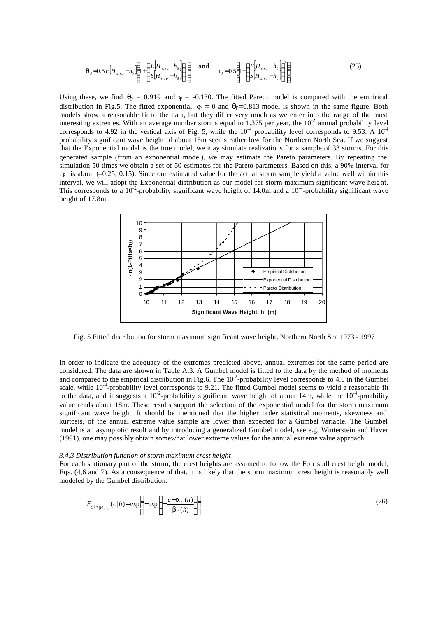$$
\boldsymbol{q}_{p} = 0.5 E[H_{s,sp} - h_{0}] \left\{ 1 + \left( \frac{E[H_{s,sp} - h_{0}]}{S[H_{s,sp} - h_{0}]} \right)^{2} \right\} \quad \text{and} \quad c_{p} = 0.5 \left\{ 1 - \left( \frac{E[H_{s,sp} - h_{0}]}{S[H_{s,sp} - h_{0}]} \right)^{2} \right\}
$$
 (25)

Using these, we find  $\theta_P = 0.919$  and  $\varphi = -0.130$ . The fitted Pareto model is compared with the empirical distribution in Fig.5. The fitted exponential,  $\varphi = 0$  and  $\theta_P = 0.813$  model is shown in the same figure. Both models show a reasonable fit to the data, but they differ very much as we enter into the range of the most interesting extremes. With an average number storms equal to 1.375 per year, the  $10^{-2}$  annual probability level corresponds to 4.92 in the vertical axis of Fig. 5, while the  $10^{-4}$  probability level corresponds to 9.53. A  $10^{-4}$ probability significant wave height of about 15m seems rather low for the Northern North Sea. If we suggest that the Exponential model is the true model, we may simulate realizations for a sample of 33 storms. For this generated sample (from an exponential model), we may estimate the Pareto parameters. By repeating the simulation 50 times we obtain a set of 50 estimates for the Pareto parameters. Based on this, a 90% interval for  $c<sub>P</sub>$  is about (–0.25, 0.15). Since our estimated value for the actual storm sample yield a value well within this interval, we will adopt the Exponential distribution as our model for storm maximum significant wave height. This corresponds to a 10<sup>-2</sup>-probability significant wave height of 14.0m and a 10<sup>-4</sup>-probability significant wave height of 17.8m.



Fig. 5 Fitted distribution for storm maximum significant wave height, Northern North Sea 1973 - 1997

In order to indicate the adequacy of the extremes predicted above, annual extremes for the same period are considered. The data are shown in Table A.3. A Gumbel model is fitted to the data by the method of moments and compared to the empirical distribution in Fig.6. The  $10^{-2}$ -probability level corresponds to 4.6 in the Gumbel scale, while 10<sup>-4</sup>-probability level corresponds to 9.21. The fitted Gumbel model seems to yield a reasonable fit to the data, and it suggests a  $10^{-2}$ -probability significant wave height of about 14m, while the  $10^{-4}$ -proability value reads about 18m. These results support the selection of the exponential model for the storm maximum significant wave height. It should be mentioned that the higher order statistical moments, skewness and kurtosis, of the annual extreme value sample are lower than expected for a Gumbel variable. The Gumbel model is an asymptotic result and by introducing a generalized Gumbel model, see e.g. Winterstein and Haver (1991), one may possibly obtain somewhat lower extreme values for the annual extreme value approach.

#### *3.4.3 Distribution function of storm maximum crest height*

For each stationary part of the storm, the crest heights are assumed to follow the Forristall crest height model, Eqs. (4,6 and 7). As a consequence of that, it is likely that the storm maximum crest height is reasonably well modeled by the Gumbel distribution:

$$
F_{C^{(s)}|H_{s,sp}}(c|h) = \exp\left\{-\exp\left\{-\frac{c - \mathbf{a}_C(h)}{\mathbf{b}_C(h)}\right\}\right\}
$$
(26)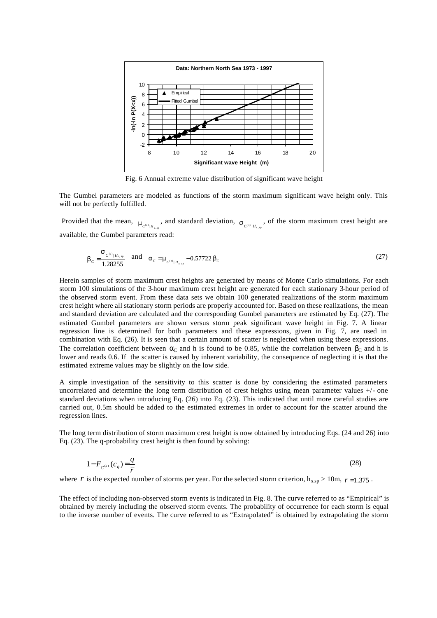

Fig. 6 Annual extreme value distribution of significant wave height

The Gumbel parameters are modeled as functions of the storm maximum significant wave height only. This will not be perfectly fulfilled.

Provided that the mean,  $\mathbf{m}_{C^{(*)}|H_{x,sp}}$ , and standard deviation,  $\mathbf{s}_{C^{(*)}|H_{x,sp}}$ , of the storm maximum crest height are | available, the Gumbel parameters read:

$$
\boldsymbol{b}_{C} = \frac{\boldsymbol{S}_{C^{(s)}|H_{s,sp}}}{1.28255} \quad \text{and} \quad \boldsymbol{a}_{C} = \boldsymbol{m}_{C^{(s)}|H_{s,sp}} - 0.57722 \, \boldsymbol{b}_{C} \tag{27}
$$

Herein samples of storm maximum crest heights are generated by means of Monte Carlo simulations. For each storm 100 simulations of the 3-hour maximum crest height are generated for each stationary 3-hour period of the observed storm event. From these data sets we obtain 100 generated realizations of the storm maximum crest height where all stationary storm periods are properly accounted for. Based on these realizations, the mean and standard deviation are calculated and the corresponding Gumbel parameters are estimated by Eq. (27). The estimated Gumbel parameters are shown versus storm peak significant wave height in Fig. 7. A linear regression line is determined for both parameters and these expressions, given in Fig. 7, are used in combination with Eq. (26). It is seen that a certain amount of scatter is neglected when using these expressions. The correlation coefficient between  $\alpha_C$  and h is found to be 0.85, while the correlation between  $\beta_C$  and h is lower and reads 0.6. If the scatter is caused by inherent variability, the consequence of neglecting it is that the estimated extreme values may be slightly on the low side.

A simple investigation of the sensitivity to this scatter is done by considering the estimated parameters uncorrelated and determine the long term distribution of crest heights using mean parameter values +/- one standard deviations when introducing Eq. (26) into Eq. (23). This indicated that until more careful studies are carried out, 0.5m should be added to the estimated extremes in order to account for the scatter around the regression lines.

The long term distribution of storm maximum crest height is now obtained by introducing Eqs. (24 and 26) into Eq. (23). The q-probability crest height is then found by solving:

$$
1 - F_{C^{(s)}}(c_q) = \frac{q}{\overline{r}}\tag{28}
$$

where  $\vec{r}$  is the expected number of storms per year. For the selected storm criterion, h<sub>s,sp</sub> > 10m,  $\vec{r}$  =1.375.

The effect of including non-observed storm events is indicated in Fig. 8. The curve referred to as "Empirical" is obtained by merely including the observed storm events. The probability of occurrence for each storm is equal to the inverse number of events. The curve referred to as "Extrapolated" is obtained by extrapolating the storm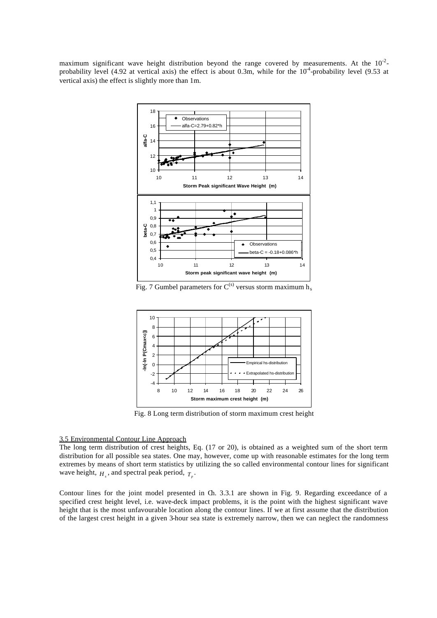maximum significant wave height distribution beyond the range covered by measurements. At the  $10^{-2}$ probability level (4.92 at vertical axis) the effect is about 0.3m, while for the  $10^4$ -probability level (9.53 at vertical axis) the effect is slightly more than 1m.



Fig. 7 Gumbel parameters for  $C^{(s)}$  versus storm maximum h<sub>s</sub>



Fig. 8 Long term distribution of storm maximum crest height

# 3.5 Environmental Contour Line Approach

The long term distribution of crest heights, Eq. (17 or 20), is obtained as a weighted sum of the short term distribution for all possible sea states. One may, however, come up with reasonable estimates for the long term extremes by means of short term statistics by utilizing the so called environmental contour lines for significant wave height,  $H_s$ , and spectral peak period,  $T_p$ .

Contour lines for the joint model presented in Ch. 3.3.1 are shown in Fig. 9. Regarding exceedance of a specified crest height level, i.e. wave-deck impact problems, it is the point with the highest significant wave height that is the most unfavourable location along the contour lines. If we at first assume that the distribution of the largest crest height in a given 3-hour sea state is extremely narrow, then we can neglect the randomness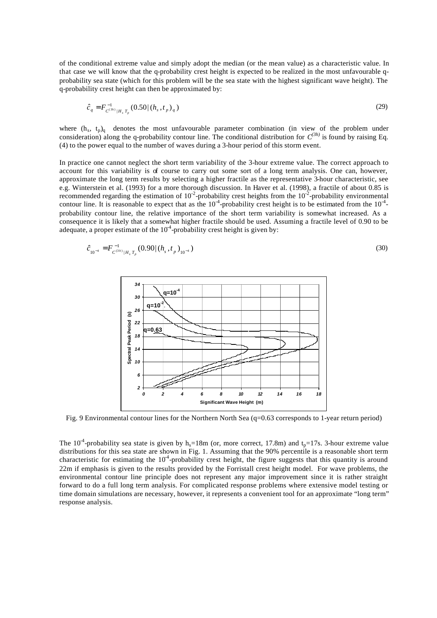of the conditional extreme value and simply adopt the median (or the mean value) as a characteristic value. In that case we will know that the q-probability crest height is expected to be realized in the most unfavourable qprobability sea state (which for this problem will be the sea state with the highest significant wave height). The q-probability crest height can then be approximated by:

$$
\hat{c}_q = F_{C^{(3h)}|H_s T_p}^{-1} (0.50 | (h_s, t_p)_q)
$$
\n(29)

where  $(h_s, t_p)$  denotes the most unfavourable parameter combination (in view of the problem under consideration) along the q-probability contour line. The conditional distribution for  $C^{(3h)}$  is found by raising Eq. (4) to the power equal to the number of waves during a 3-hour period of this storm event.

In practice one cannot neglect the short term variability of the 3-hour extreme value. The correct approach to account for this variability is of course to carry out some sort of a long term analysis. One can, however, approximate the long term results by selecting a higher fractile as the representative 3-hour characteristic, see e.g. Winterstein et al. (1993) for a more thorough discussion. In Haver et al. (1998), a fractile of about 0.85 is recommended regarding the estimation of  $10^{-2}$ -probability crest heights from the  $10^{-2}$ -probability environmental contour line. It is reasonable to expect that as the  $10^{-4}$ -probability crest height is to be estimated from the  $10^{-4}$ probability contour line, the relative importance of the short term variability is somewhat increased. As a consequence it is likely that a somewhat higher fractile should be used. Assuming a fractile level of 0.90 to be adequate, a proper estimate of the  $10^{-4}$ -probability crest height is given by:

$$
\hat{c}_{10^{-4}} = F_{C^{(3h)}|H_s T_p}^{-1} (0.90 | (h_s, t_p)_{10^{-4}})
$$
\n(30)



Fig. 9 Environmental contour lines for the Northern North Sea (q=0.63 corresponds to 1-year return period)

The 10<sup>-4</sup>-probability sea state is given by  $h_s = 18m$  (or, more correct, 17.8m) and  $t_p = 17s$ . 3-hour extreme value distributions for this sea state are shown in Fig. 1. Assuming that the 90% percentile is a reasonable short term characteristic for estimating the  $10^{-4}$ -probability crest height, the figure suggests that this quantity is around 22m if emphasis is given to the results provided by the Forristall crest height model. For wave problems, the environmental contour line principle does not represent any major improvement since it is rather straight forward to do a full long term analysis. For complicated response problems where extensive model testing or time domain simulations are necessary, however, it represents a convenient tool for an approximate "long term" response analysis.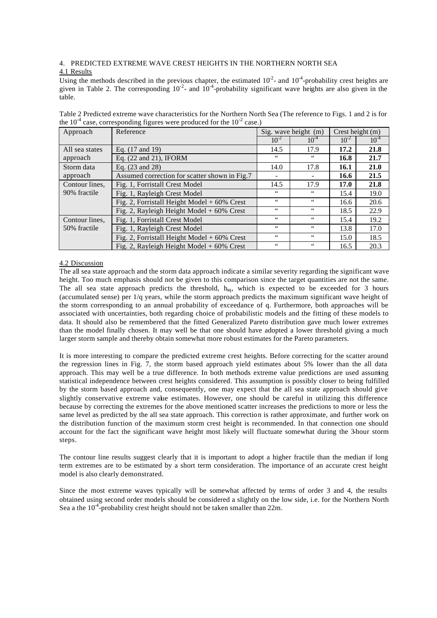# 4. PREDICTED EXTREME WAVE CREST HEIGHTS IN THE NORTHERN NORTH SEA

# 4.1 Results

Using the methods described in the previous chapter, the estimated  $10^{2}$ - and  $10^{4}$ -probability crest heights are given in Table 2. The corresponding  $10^{-2}$ - and  $10^{-4}$ -probability significant wave heights are also given in the table.

| Approach       | Reference                                     |                | Sig. wave height (m) | Crest height (m) |           |  |
|----------------|-----------------------------------------------|----------------|----------------------|------------------|-----------|--|
|                |                                               | $10^{-2}$      | $10^{-4}$            | $10^{-2}$        | $10^{-4}$ |  |
| All sea states | Eq. (17 and 19)                               | 14.5           | 17.9                 | 17.2             | 21.8      |  |
| approach       | Eq. (22 and 21), IFORM                        | $66$           | $66$                 | 16.8             | 21.7      |  |
| Storm data     | Eq. (23 and 28)                               | 14.0           | 17.8                 | 16.1             | 21.0      |  |
| approach       | Assumed correction for scatter shown in Fig.7 |                |                      | 16.6             | 21.5      |  |
| Contour lines, | Fig. 1, Forristall Crest Model                | 14.5           | 17.9                 | 17.0             | 21.8      |  |
| 90% fractile   | Fig. 1, Rayleigh Crest Model                  | 66             | 66                   | 15.4             | 19.0      |  |
|                | Fig. 2, Forristall Height Model $+60\%$ Crest | 66             | 66                   | 16.6             | 20.6      |  |
|                | Fig. 2, Rayleigh Height Model $+60\%$ Crest   | $\leq \leq$    | $\zeta$ $\zeta$      | 18.5             | 22.9      |  |
| Contour lines, | Fig. 1, Forristall Crest Model                | $\zeta\,\zeta$ | $\zeta\,\zeta$       | 15.4             | 19.2      |  |
| 50% fractile   | Fig. 1, Rayleigh Crest Model                  | $\leq \leq$    | $\leq \leq$          | 13.8             | 17.0      |  |
|                | Fig. 2, Forristall Height Model $+60\%$ Crest | $\leq \leq$    | $\zeta\,\zeta$       | 15.0             | 18.5      |  |
|                | Fig. 2, Rayleigh Height Model $+60\%$ Crest   | $\leq \leq$    | $\leq \leq$          | 16.5             | 20.3      |  |

Table 2 Predicted extreme wave characteristics for the Northern North Sea (The reference to Figs. 1 and 2 is for the 10<sup>-4</sup> case, corresponding figures were produced for the  $10^{-2}$  case.)

# 4.2 Discussion

The all sea state approach and the storm data approach indicate a similar severity regarding the significant wave height. Too much emphasis should not be given to this comparison since the target quantities are not the same. The all sea state approach predicts the threshold,  $h_{sq}$ , which is expected to be exceeded for 3 hours (accumulated sense) per 1/q years, while the storm approach predicts the maximum significant wave height of the storm corresponding to an annual probability of exceedance of q. Furthermore, both approaches will be associated with uncertainties, both regarding choice of probabilistic models and the fitting of these models to data. It should also be remembered that the fitted Generalized Pareto distribution gave much lower extremes than the model finally chosen. It may well be that one should have adopted a lower threshold giving a much larger storm sample and thereby obtain somewhat more robust estimates for the Pareto parameters.

It is more interesting to compare the predicted extreme crest heights. Before correcting for the scatter around the regression lines in Fig. 7, the storm based approach yield estimates about 5% lower than the all data approach. This may well be a true difference. In both methods extreme value predictions are used assuming statistical independence between crest heights considered. This assumption is possibly closer to being fulfilled by the storm based approach and, consequently, one may expect that the all sea state approach should give slightly conservative extreme value estimates. However, one should be careful in utilizing this difference because by correcting the extremes for the above mentioned scatter increases the predictions to more or less the same level as predicted by the all sea state approach. This correction is rather approximate, and further work on the distribution function of the maximum storm crest height is recommended. In that connection one should account for the fact the significant wave height most likely will fluctuate somewhat during the 3-hour storm steps.

The contour line results suggest clearly that it is important to adopt a higher fractile than the median if long term extremes are to be estimated by a short term consideration. The importance of an accurate crest height model is also clearly demonstrated.

Since the most extreme waves typically will be somewhat affected by terms of order 3 and 4, the results obtained using second order models should be considered a slightly on the low side, i.e. for the Northern North Sea a the  $10^{-4}$ -probability crest height should not be taken smaller than 22m.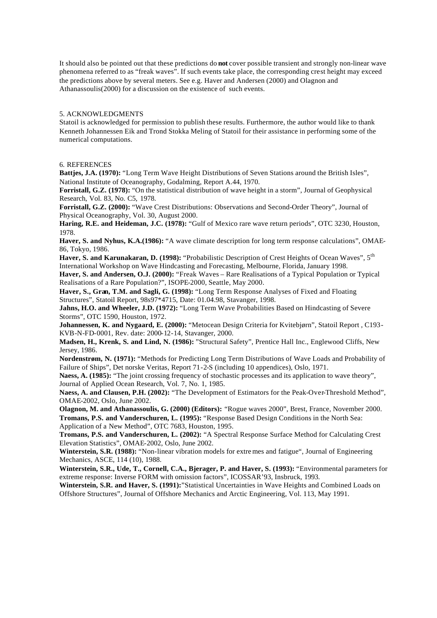It should also be pointed out that these predictions do **not** cover possible transient and strongly non-linear wave phenomena referred to as "freak waves". If such events take place, the corresponding crest height may exceed the predictions above by several meters. See e.g. Haver and Andersen (2000) and Olagnon and Athanassoulis(2000) for a discussion on the existence of such events.

# 5. ACKNOWLEDGMENTS

Statoil is acknowledged for permission to publish these results. Furthermore, the author would like to thank Kenneth Johannessen Eik and Trond Stokka Meling of Statoil for their assistance in performing some of the numerical computations.

#### 6. REFERENCES

**Battjes, J.A. (1970):** "Long Term Wave Height Distributions of Seven Stations around the British Isles", National Institute of Oceanography, Godalming, Report A.44, 1970.

**Forristall, G.Z. (1978):** "On the statistical distribution of wave height in a storm", Journal of Geophysical Research, Vol. 83, No. C5, 1978.

**Forristall, G.Z. (2000):** "Wave Crest Distributions: Observations and Second-Order Theory", Journal of Physical Oceanography, Vol. 30, August 2000.

**Haring, R.E. and Heideman, J.C. (1978):** "Gulf of Mexico rare wave return periods", OTC 3230, Houston, 1978.

**Haver, S. and Nyhus, K.A.(1986):** "A wave climate description for long term response calculations", OMAE-86, Tokyo, 1986.

Haver, S. and Karunakaran, D. (1998): "Probabilistic Description of Crest Heights of Ocean Waves", 5<sup>th</sup> International Workshop on Wave Hindcasting and Forecasting, Melbourne, Florida, January 1998.

**Haver, S. and Andersen, O.J. (2000):** "Freak Waves – Rare Realisations of a Typical Population or Typical Realisations of a Rare Population?", ISOPE-2000, Seattle, May 2000.

**Haver, S., Gran, T.M. and Sagli, G. (1998):** "Long Term Response Analyses of Fixed and Floating Structures", Statoil Report, 98s97\*4715, Date: 01.04.98, Stavanger, 1998.

**Jahns, H.O. and Wheeler, J.D. (1972):** "Long Term Wave Probabilities Based on Hindcasting of Severe Storms", OTC 1590, Houston, 1972.

**Johannessen, K. and Nygaard, E. (2000):** "Metocean Design Criteria for Kvitebjørn", Statoil Report , C193- KVB-N-FD-0001, Rev. date: 2000-12-14, Stavanger, 2000.

**Madsen, H., Krenk, S. and Lind, N. (1986):** "Structural Safety", Prentice Hall Inc., Englewood Cliffs, New Jersey, 1986.

**Nordenstrøm, N. (1971):** "Methods for Predicting Long Term Distributions of Wave Loads and Probability of Failure of Ships", Det norske Veritas, Report 71-2-S (including 10 appendices), Oslo, 1971.

**Naess, A. (1985):** "The joint crossing frequency of stochastic processes and its application to wave theory", Journal of Applied Ocean Research, Vol. 7, No. 1, 1985.

**Naess, A. and Clausen, P.H. (2002):** "The Development of Estimators for the Peak-Over-Threshold Method", OMAE-2002, Oslo, June 2002.

**Olagnon, M. and Athanassoulis, G. (2000) (Editors):** "Rogue waves 2000", Brest, France, November 2000. **Tromans, P.S. and Vanderschuren, L. (1995):** "Response Based Design Conditions in the North Sea: Application of a New Method", OTC 7683, Houston, 1995.

**Tromans, P.S. and Vanderschuren, L. (2002):** "A Spectral Response Surface Method for Calculating Crest Elevation Statistics", OMAE-2002, Oslo, June 2002.

**Winterstein, S.R. (1988):** "Non-linear vibration models for extre mes and fatigue", Journal of Engineering Mechanics, ASCE, 114 (10), 1988.

**Winterstein, S.R., Ude, T., Cornell, C.A., Bjerager, P. and Haver, S. (1993):** "Environmental parameters for extreme response: Inverse FORM with omission factors", ICOSSAR'93, Insbruck, 1993.

**Winterstein, S.R. and Haver, S. (1991):**"Statistical Uncertainties in Wave Heights and Combined Loads on Offshore Structures", Journal of Offshore Mechanics and Arctic Engineering, Vol. 113, May 1991.